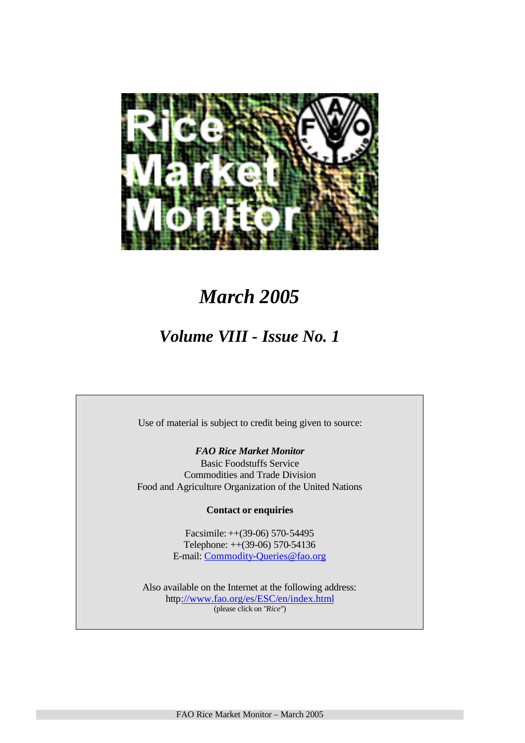

# *March 2005*

# *Volume VIII - Issue No. 1*

Use of material is subject to credit being given to source:

# *FAO Rice Market Monitor*

Basic Foodstuffs Service Commodities and Trade Division Food and Agriculture Organization of the United Nations

# **Contact or enquiries**

Facsimile: ++(39-06) 570-54495 Telephone: ++(39-06) 570-54136 E-mail: Commodity-Queries@fao.org

Also available on the Internet at the following address: http://www.fao.org/es/ESC/en/index.html (please click on "*Rice*")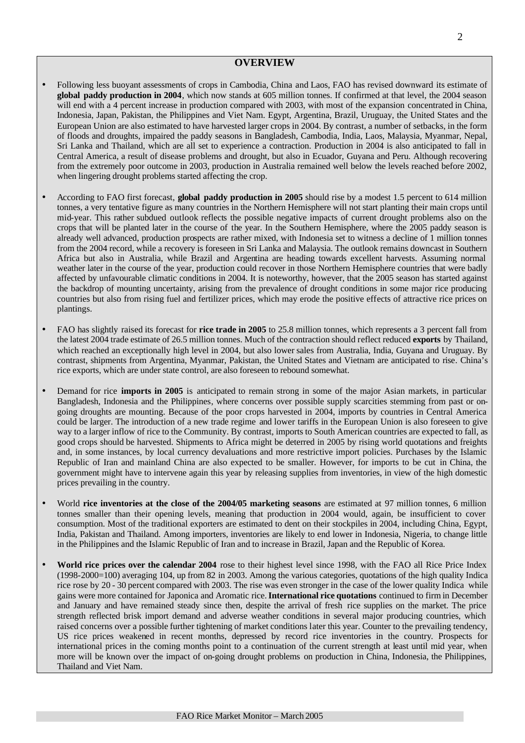## **OVERVIEW**

- Following less buoyant assessments of crops in Cambodia, China and Laos, FAO has revised downward its estimate of **global paddy production in 2004**, which now stands at 605 million tonnes. If confirmed at that level, the 2004 season will end with a 4 percent increase in production compared with 2003, with most of the expansion concentrated in China, Indonesia, Japan, Pakistan, the Philippines and Viet Nam. Egypt, Argentina, Brazil, Uruguay, the United States and the European Union are also estimated to have harvested larger crops in 2004. By contrast, a number of setbacks, in the form of floods and droughts, impaired the paddy seasons in Bangladesh, Cambodia, India, Laos, Malaysia, Myanmar, Nepal, Sri Lanka and Thailand, which are all set to experience a contraction. Production in 2004 is also anticipated to fall in Central America, a result of disease problems and drought, but also in Ecuador, Guyana and Peru. Although recovering from the extremely poor outcome in 2003, production in Australia remained well below the levels reached before 2002, when lingering drought problems started affecting the crop.
- According to FAO first forecast, **global paddy production in 2005** should rise by a modest 1.5 percent to 614 million tonnes, a very tentative figure as many countries in the Northern Hemisphere will not start planting their main crops until mid-year. This rather subdued outlook reflects the possible negative impacts of current drought problems also on the crops that will be planted later in the course of the year. In the Southern Hemisphere, where the 2005 paddy season is already well advanced, production prospects are rather mixed, with Indonesia set to witness a decline of 1 million tonnes from the 2004 record, while a recovery is foreseen in Sri Lanka and Malaysia. The outlook remains downcast in Southern Africa but also in Australia, while Brazil and Argentina are heading towards excellent harvests. Assuming normal weather later in the course of the year, production could recover in those Northern Hemisphere countries that were badly affected by unfavourable climatic conditions in 2004. It is noteworthy, however, that the 2005 season has started against the backdrop of mounting uncertainty, arising from the prevalence of drought conditions in some major rice producing countries but also from rising fuel and fertilizer prices, which may erode the positive effects of attractive rice prices on plantings.
- FAO has slightly raised its forecast for **rice trade in 2005** to 25.8 million tonnes, which represents a 3 percent fall from the latest 2004 trade estimate of 26.5 million tonnes. Much of the contraction should reflect reduced **exports** by Thailand, which reached an exceptionally high level in 2004, but also lower sales from Australia, India, Guyana and Uruguay. By contrast, shipments from Argentina, Myanmar, Pakistan, the United States and Vietnam are anticipated to rise. China's rice exports, which are under state control, are also foreseen to rebound somewhat.
- Demand for rice **imports in 2005** is anticipated to remain strong in some of the major Asian markets, in particular Bangladesh, Indonesia and the Philippines, where concerns over possible supply scarcities stemming from past or ongoing droughts are mounting. Because of the poor crops harvested in 2004, imports by countries in Central America could be larger. The introduction of a new trade regime and lower tariffs in the European Union is also foreseen to give way to a larger inflow of rice to the Community. By contrast, imports to South American countries are expected to fall, as good crops should be harvested. Shipments to Africa might be deterred in 2005 by rising world quotations and freights and, in some instances, by local currency devaluations and more restrictive import policies. Purchases by the Islamic Republic of Iran and mainland China are also expected to be smaller. However, for imports to be cut in China, the government might have to intervene again this year by releasing supplies from inventories, in view of the high domestic prices prevailing in the country.
- World **rice inventories at the close of the 2004/05 marketing seasons** are estimated at 97 million tonnes, 6 million tonnes smaller than their opening levels, meaning that production in 2004 would, again, be insufficient to cover consumption. Most of the traditional exporters are estimated to dent on their stockpiles in 2004, including China, Egypt, India, Pakistan and Thailand. Among importers, inventories are likely to end lower in Indonesia, Nigeria, to change little in the Philippines and the Islamic Republic of Iran and to increase in Brazil, Japan and the Republic of Korea.
- **World rice prices over the calendar 2004** rose to their highest level since 1998, with the FAO all Rice Price Index (1998-2000=100) averaging 104, up from 82 in 2003. Among the various categories, quotations of the high quality Indica rice rose by 20 - 30 percent compared with 2003. The rise was even stronger in the case of the lower quality Indica while gains were more contained for Japonica and Aromatic rice.**International rice quotations** continued to firm in December and January and have remained steady since then, despite the arrival of fresh rice supplies on the market. The price strength reflected brisk import demand and adverse weather conditions in several major producing countries, which raised concerns over a possible further tightening of market conditions later this year. Counter to the prevailing tendency, US rice prices weakened in recent months, depressed by record rice inventories in the country. Prospects for international prices in the coming months point to a continuation of the current strength at least until mid year, when more will be known over the impact of on-going drought problems on production in China, Indonesia, the Philippines, Thailand and Viet Nam.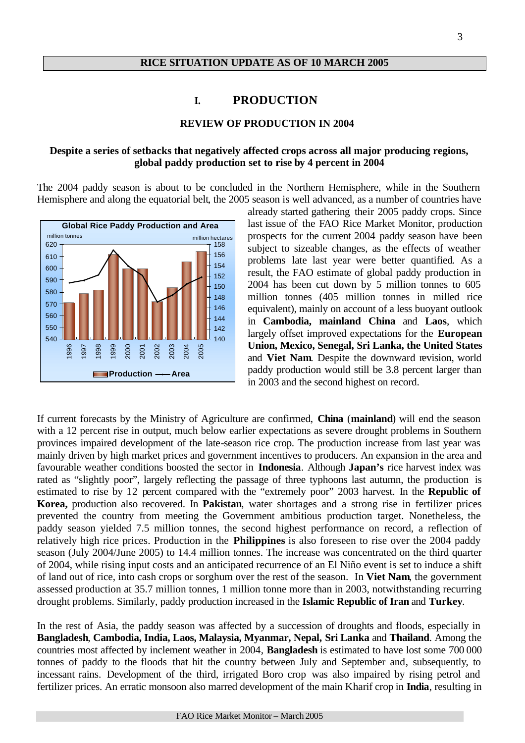# **RICE SITUATION UPDATE AS OF 10 MARCH 2005**

# **I. PRODUCTION**

#### **REVIEW OF PRODUCTION IN 2004**

# **Despite a series of setbacks that negatively affected crops across all major producing regions, global paddy production set to rise by 4 percent in 2004**

The 2004 paddy season is about to be concluded in the Northern Hemisphere, while in the Southern Hemisphere and along the equatorial belt, the 2005 season is well advanced, as a number of countries have



already started gathering their 2005 paddy crops. Since last issue of the FAO Rice Market Monitor, production prospects for the current 2004 paddy season have been subject to sizeable changes, as the effects of weather problems late last year were better quantified. As a result, the FAO estimate of global paddy production in 2004 has been cut down by 5 million tonnes to 605 million tonnes (405 million tonnes in milled rice equivalent), mainly on account of a less buoyant outlook in **Cambodia, mainland China** and **Laos**, which largely offset improved expectations for the **European Union, Mexico, Senegal, Sri Lanka, the United States**  and **Viet Nam**. Despite the downward revision, world paddy production would still be 3.8 percent larger than in 2003 and the second highest on record.

If current forecasts by the Ministry of Agriculture are confirmed, **China** (**mainland**) will end the season with a 12 percent rise in output, much below earlier expectations as severe drought problems in Southern provinces impaired development of the late-season rice crop. The production increase from last year was mainly driven by high market prices and government incentives to producers. An expansion in the area and favourable weather conditions boosted the sector in **Indonesia**. Although **Japan's** rice harvest index was rated as "slightly poor", largely reflecting the passage of three typhoons last autumn, the production is estimated to rise by 12 percent compared with the "extremely poor" 2003 harvest. In the **Republic of Korea,** production also recovered. In **Pakistan**, water shortages and a strong rise in fertilizer prices prevented the country from meeting the Government ambitious production target. Nonetheless, the paddy season yielded 7.5 million tonnes, the second highest performance on record, a reflection of relatively high rice prices. Production in the **Philippines** is also foreseen to rise over the 2004 paddy season (July 2004/June 2005) to 14.4 million tonnes. The increase was concentrated on the third quarter of 2004, while rising input costs and an anticipated recurrence of an El Niño event is set to induce a shift of land out of rice, into cash crops or sorghum over the rest of the season. In **Viet Nam**, the government assessed production at 35.7 million tonnes, 1 million tonne more than in 2003, notwithstanding recurring drought problems. Similarly, paddy production increased in the **Islamic Republic of Iran** and **Turkey**.

In the rest of Asia, the paddy season was affected by a succession of droughts and floods, especially in **Bangladesh**, **Cambodia, India, Laos, Malaysia, Myanmar, Nepal, Sri Lanka** and **Thailand**. Among the countries most affected by inclement weather in 2004, **Bangladesh** is estimated to have lost some 700 000 tonnes of paddy to the floods that hit the country between July and September and, subsequently, to incessant rains. Development of the third, irrigated Boro crop was also impaired by rising petrol and fertilizer prices. An erratic monsoon also marred development of the main Kharif crop in **India**, resulting in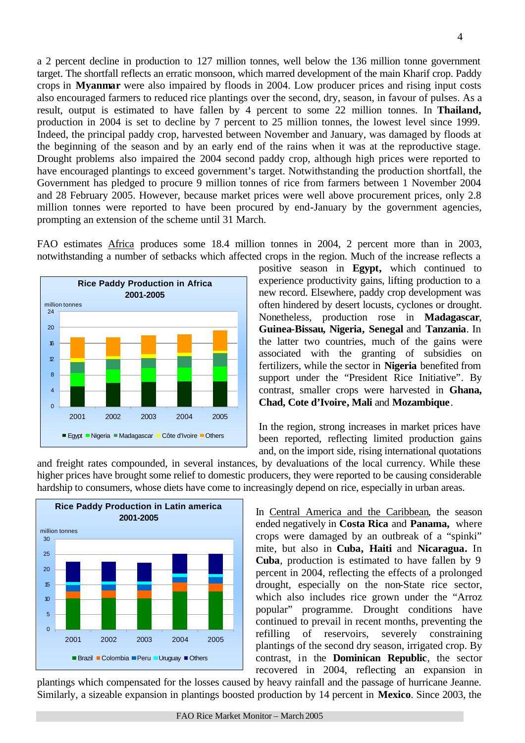a 2 percent decline in production to 127 million tonnes, well below the 136 million tonne government target. The shortfall reflects an erratic monsoon, which marred development of the main Kharif crop. Paddy crops in **Myanmar** were also impaired by floods in 2004. Low producer prices and rising input costs also encouraged farmers to reduced rice plantings over the second, dry, season, in favour of pulses. As a result, output is estimated to have fallen by 4 percent to some 22 million tonnes. In **Thailand,** production in 2004 is set to decline by 7 percent to 25 million tonnes, the lowest level since 1999. Indeed, the principal paddy crop, harvested between November and January, was damaged by floods at the beginning of the season and by an early end of the rains when it was at the reproductive stage. Drought problems also impaired the 2004 second paddy crop, although high prices were reported to have encouraged plantings to exceed government's target. Notwithstanding the production shortfall, the Government has pledged to procure 9 million tonnes of rice from farmers between 1 November 2004 and 28 February 2005. However, because market prices were well above procurement prices, only 2.8 million tonnes were reported to have been procured by end-January by the government agencies, prompting an extension of the scheme until 31 March.

FAO estimates Africa produces some 18.4 million tonnes in 2004, 2 percent more than in 2003, notwithstanding a number of setbacks which affected crops in the region. Much of the increase reflects a



positive season in **Egypt,** which continued to experience productivity gains, lifting production to a new record. Elsewhere, paddy crop development was often hindered by desert locusts, cyclones or drought. Nonetheless, production rose in **Madagascar**, **Guinea-Bissau, Nigeria, Senegal** and **Tanzania**. In the latter two countries, much of the gains were associated with the granting of subsidies on fertilizers, while the sector in **Nigeria** benefited from support under the "President Rice Initiative". By contrast, smaller crops were harvested in **Ghana, Chad, Cote d'Ivoire, Mali** and **Mozambique**.

In the region, strong increases in market prices have been reported, reflecting limited production gains and, on the import side, rising international quotations

and freight rates compounded, in several instances, by devaluations of the local currency. While these higher prices have brought some relief to domestic producers, they were reported to be causing considerable hardship to consumers, whose diets have come to increasingly depend on rice, especially in urban areas.



In Central America and the Caribbean, the season ended negatively in **Costa Rica** and **Panama,** where crops were damaged by an outbreak of a "spinki" mite, but also in **Cuba, Haiti** and **Nicaragua.** In **Cuba**, production is estimated to have fallen by 9 percent in 2004, reflecting the effects of a prolonged drought, especially on the non-State rice sector, which also includes rice grown under the "Arroz popular" programme. Drought conditions have continued to prevail in recent months, preventing the refilling of reservoirs, severely constraining plantings of the second dry season, irrigated crop. By contrast, in the **Dominican Republic**, the sector recovered in 2004, reflecting an expansion in

plantings which compensated for the losses caused by heavy rainfall and the passage of hurricane Jeanne. Similarly, a sizeable expansion in plantings boosted production by 14 percent in **Mexico**. Since 2003, the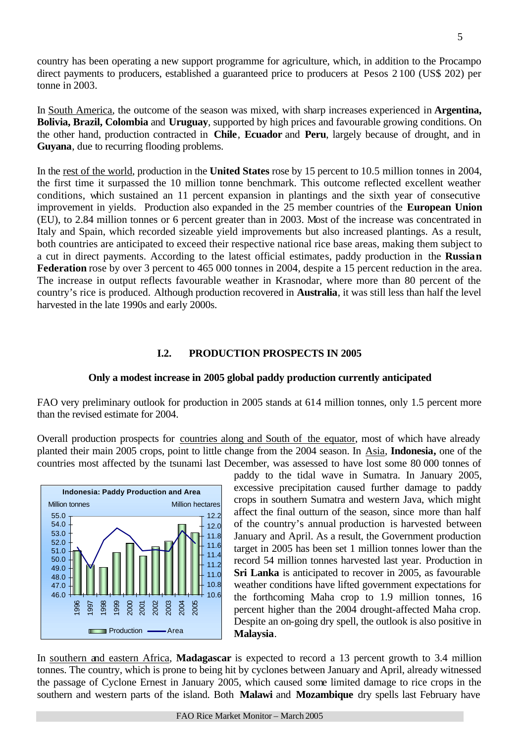country has been operating a new support programme for agriculture, which, in addition to the Procampo direct payments to producers, established a guaranteed price to producers at Pesos 2 100 (US\$ 202) per tonne in 2003.

In South America, the outcome of the season was mixed, with sharp increases experienced in **Argentina, Bolivia, Brazil, Colombia** and **Uruguay**, supported by high prices and favourable growing conditions. On the other hand, production contracted in **Chile**, **Ecuador** and **Peru**, largely because of drought, and in **Guyana**, due to recurring flooding problems.

In the rest of the world, production in the **United States** rose by 15 percent to 10.5 million tonnes in 2004, the first time it surpassed the 10 million tonne benchmark. This outcome reflected excellent weather conditions, which sustained an 11 percent expansion in plantings and the sixth year of consecutive improvement in yields. Production also expanded in the 25 member countries of the **European Union** (EU), to 2.84 million tonnes or 6 percent greater than in 2003. Most of the increase was concentrated in Italy and Spain, which recorded sizeable yield improvements but also increased plantings. As a result, both countries are anticipated to exceed their respective national rice base areas, making them subject to a cut in direct payments. According to the latest official estimates, paddy production in the **Russian Federation** rose by over 3 percent to 465 000 tonnes in 2004, despite a 15 percent reduction in the area. The increase in output reflects favourable weather in Krasnodar, where more than 80 percent of the country's rice is produced. Although production recovered in **Australia**, it was still less than half the level harvested in the late 1990s and early 2000s.

## **I.2. PRODUCTION PROSPECTS IN 2005**

#### **Only a modest increase in 2005 global paddy production currently anticipated**

FAO very preliminary outlook for production in 2005 stands at 614 million tonnes, only 1.5 percent more than the revised estimate for 2004.

Overall production prospects for countries along and South of the equator, most of which have already planted their main 2005 crops, point to little change from the 2004 season. In Asia, **Indonesia,** one of the countries most affected by the tsunami last December, was assessed to have lost some 80 000 tonnes of



paddy to the tidal wave in Sumatra. In January 2005, excessive precipitation caused further damage to paddy crops in southern Sumatra and western Java, which might affect the final outturn of the season, since more than half of the country's annual production is harvested between January and April. As a result, the Government production target in 2005 has been set 1 million tonnes lower than the record 54 million tonnes harvested last year. Production in **Sri Lanka** is anticipated to recover in 2005, as favourable weather conditions have lifted government expectations for the forthcoming Maha crop to 1.9 million tonnes, 16 percent higher than the 2004 drought-affected Maha crop. Despite an on-going dry spell, the outlook is also positive in **Malaysia**.

In southern and eastern Africa, **Madagascar** is expected to record a 13 percent growth to 3.4 million tonnes. The country, which is prone to being hit by cyclones between January and April, already witnessed the passage of Cyclone Ernest in January 2005, which caused some limited damage to rice crops in the southern and western parts of the island. Both **Malawi** and **Mozambique** dry spells last February have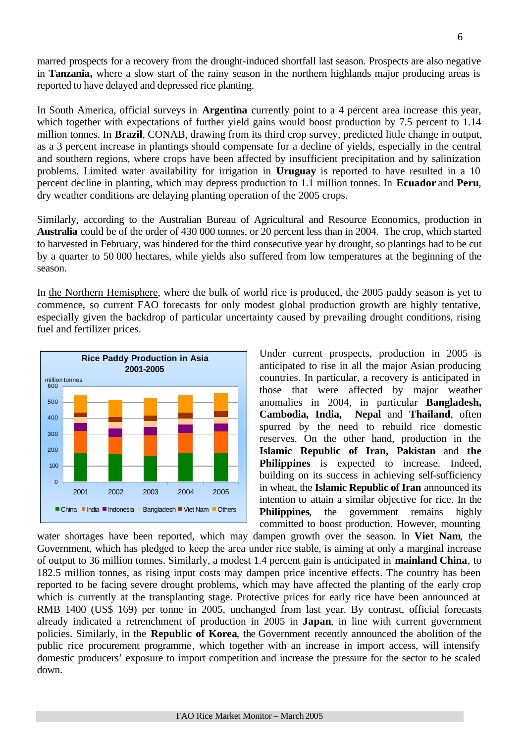marred prospects for a recovery from the drought-induced shortfall last season. Prospects are also negative in **Tanzania,** where a slow start of the rainy season in the northern highlands major producing areas is reported to have delayed and depressed rice planting.

In South America, official surveys in **Argentina** currently point to a 4 percent area increase this year, which together with expectations of further yield gains would boost production by 7.5 percent to 1.14 million tonnes. In **Brazil**, CONAB, drawing from its third crop survey, predicted little change in output, as a 3 percent increase in plantings should compensate for a decline of yields, especially in the central and southern regions, where crops have been affected by insufficient precipitation and by salinization problems. Limited water availability for irrigation in **Uruguay** is reported to have resulted in a 10 percent decline in planting, which may depress production to 1.1 million tonnes. In **Ecuador** and **Peru**, dry weather conditions are delaying planting operation of the 2005 crops.

Similarly, according to the Australian Bureau of Agricultural and Resource Economics, production in **Australia** could be of the order of 430 000 tonnes, or 20 percent less than in 2004. The crop, which started to harvested in February, was hindered for the third consecutive year by drought, so plantings had to be cut by a quarter to 50 000 hectares, while yields also suffered from low temperatures at the beginning of the season.

In the Northern Hemisphere, where the bulk of world rice is produced, the 2005 paddy season is yet to commence, so current FAO forecasts for only modest global production growth are highly tentative, especially given the backdrop of particular uncertainty caused by prevailing drought conditions, rising fuel and fertilizer prices.



Under current prospects, production in 2005 is anticipated to rise in all the major Asian producing countries. In particular, a recovery is anticipated in those that were affected by major weather anomalies in 2004, in particular **Bangladesh, Cambodia, India, Nepal** and **Thailand**, often spurred by the need to rebuild rice domestic reserves. On the other hand, production in the **Islamic Republic of Iran, Pakistan** and **the Philippines** is expected to increase. Indeed, building on its success in achieving self-sufficiency in wheat, the **Islamic Republic of Iran** announced its intention to attain a similar objective for rice. In the **Philippines**, the government remains highly committed to boost production. However, mounting

water shortages have been reported, which may dampen growth over the season. In **Viet Nam**, the Government, which has pledged to keep the area under rice stable, is aiming at only a marginal increase of output to 36 million tonnes. Similarly, a modest 1.4 percent gain is anticipated in **mainland China**, to 182.5 million tonnes, as rising input costs may dampen price incentive effects. The country has been reported to be facing severe drought problems, which may have affected the planting of the early crop which is currently at the transplanting stage. Protective prices for early rice have been announced at RMB 1400 (US\$ 169) per tonne in 2005, unchanged from last year. By contrast, official forecasts already indicated a retrenchment of production in 2005 in **Japan**, in line with current government policies. Similarly, in the **Republic of Korea**, the Government recently announced the abolition of the public rice procurement programme, which together with an increase in import access, will intensify domestic producers' exposure to import competition and increase the pressure for the sector to be scaled down.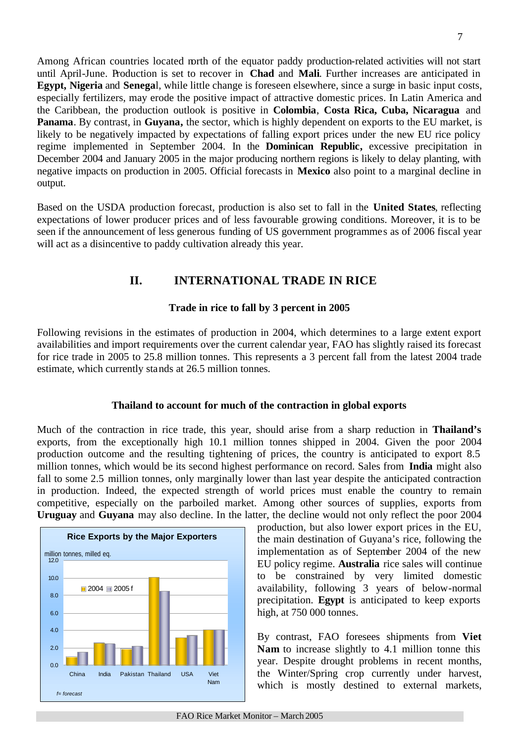Among African countries located north of the equator paddy production-related activities will not start until April-June. Production is set to recover in **Chad** and **Mali**. Further increases are anticipated in **Egypt, Nigeria** and **Senega**l, while little change is foreseen elsewhere, since a surge in basic input costs, especially fertilizers, may erode the positive impact of attractive domestic prices. In Latin America and the Caribbean, the production outlook is positive in **Colombia**, **Costa Rica, Cuba, Nicaragua** and **Panama**. By contrast, in **Guyana,** the sector, which is highly dependent on exports to the EU market, is likely to be negatively impacted by expectations of falling export prices under the new EU rice policy regime implemented in September 2004. In the **Dominican Republic,** excessive precipitation in December 2004 and January 2005 in the major producing northern regions is likely to delay planting, with negative impacts on production in 2005. Official forecasts in **Mexico** also point to a marginal decline in output.

Based on the USDA production forecast, production is also set to fall in the **United States**, reflecting expectations of lower producer prices and of less favourable growing conditions. Moreover, it is to be seen if the announcement of less generous funding of US government programmes as of 2006 fiscal year will act as a disincentive to paddy cultivation already this year.

# **II. INTERNATIONAL TRADE IN RICE**

# **Trade in rice to fall by 3 percent in 2005**

Following revisions in the estimates of production in 2004, which determines to a large extent export availabilities and import requirements over the current calendar year, FAO has slightly raised its forecast for rice trade in 2005 to 25.8 million tonnes. This represents a 3 percent fall from the latest 2004 trade estimate, which currently stands at 26.5 million tonnes.

# **Thailand to account for much of the contraction in global exports**

Much of the contraction in rice trade, this year, should arise from a sharp reduction in **Thailand's** exports, from the exceptionally high 10.1 million tonnes shipped in 2004. Given the poor 2004 production outcome and the resulting tightening of prices, the country is anticipated to export 8.5 million tonnes, which would be its second highest performance on record. Sales from **India** might also fall to some 2.5 million tonnes, only marginally lower than last year despite the anticipated contraction in production. Indeed, the expected strength of world prices must enable the country to remain competitive, especially on the parboiled market. Among other sources of supplies, exports from **Uruguay** and **Guyana** may also decline. In the latter, the decline would not only reflect the poor 2004



production, but also lower export prices in the EU, the main destination of Guyana's rice, following the implementation as of September 2004 of the new EU policy regime. **Australia** rice sales will continue to be constrained by very limited domestic availability, following 3 years of below-normal precipitation. **Egypt** is anticipated to keep exports high, at 750 000 tonnes.

By contrast, FAO foresees shipments from **Viet Nam** to increase slightly to 4.1 million tonne this year. Despite drought problems in recent months, the Winter/Spring crop currently under harvest, which is mostly destined to external markets,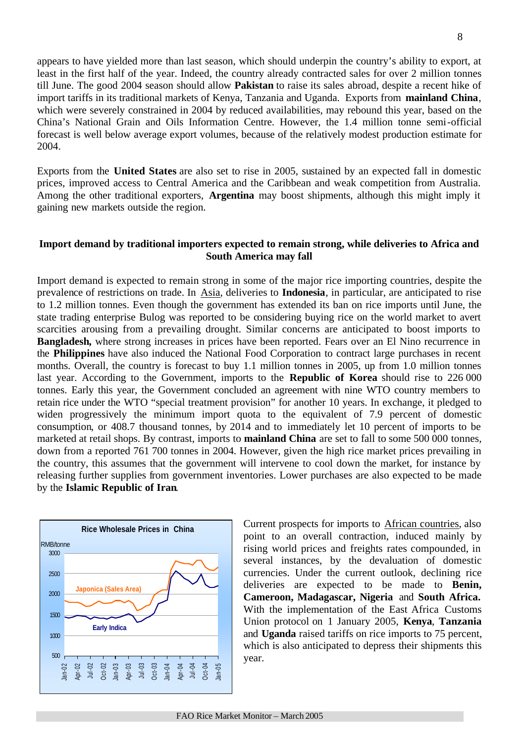appears to have yielded more than last season, which should underpin the country's ability to export, at least in the first half of the year. Indeed, the country already contracted sales for over 2 million tonnes till June. The good 2004 season should allow **Pakistan** to raise its sales abroad, despite a recent hike of import tariffs in its traditional markets of Kenya, Tanzania and Uganda. Exports from **mainland China**, which were severely constrained in 2004 by reduced availabilities, may rebound this year, based on the China's National Grain and Oils Information Centre. However, the 1.4 million tonne semi-official forecast is well below average export volumes, because of the relatively modest production estimate for 2004.

Exports from the **United States** are also set to rise in 2005, sustained by an expected fall in domestic prices, improved access to Central America and the Caribbean and weak competition from Australia. Among the other traditional exporters, **Argentina** may boost shipments, although this might imply it gaining new markets outside the region.

# **Import demand by traditional importers expected to remain strong, while deliveries to Africa and South America may fall**

Import demand is expected to remain strong in some of the major rice importing countries, despite the prevalence of restrictions on trade. In Asia, deliveries to **Indonesia**, in particular, are anticipated to rise to 1.2 million tonnes. Even though the government has extended its ban on rice imports until June, the state trading enterprise Bulog was reported to be considering buying rice on the world market to avert scarcities arousing from a prevailing drought. Similar concerns are anticipated to boost imports to **Bangladesh,** where strong increases in prices have been reported. Fears over an El Nino recurrence in the **Philippines** have also induced the National Food Corporation to contract large purchases in recent months. Overall, the country is forecast to buy 1.1 million tonnes in 2005, up from 1.0 million tonnes last year. According to the Government, imports to the **Republic of Korea** should rise to 226 000 tonnes. Early this year, the Government concluded an agreement with nine WTO country members to retain rice under the WTO "special treatment provision" for another 10 years. In exchange, it pledged to widen progressively the minimum import quota to the equivalent of 7.9 percent of domestic consumption, or 408.7 thousand tonnes, by 2014 and to immediately let 10 percent of imports to be marketed at retail shops. By contrast, imports to **mainland China** are set to fall to some 500 000 tonnes, down from a reported 761 700 tonnes in 2004. However, given the high rice market prices prevailing in the country, this assumes that the government will intervene to cool down the market, for instance by releasing further supplies from government inventories. Lower purchases are also expected to be made by the **Islamic Republic of Iran**.



Current prospects for imports to African countries, also point to an overall contraction, induced mainly by rising world prices and freights rates compounded, in several instances, by the devaluation of domestic currencies. Under the current outlook, declining rice deliveries are expected to be made to **Benin, Cameroon, Madagascar, Nigeria** and **South Africa.**  With the implementation of the East Africa Customs Union protocol on 1 January 2005, **Kenya**, **Tanzania**  and **Uganda** raised tariffs on rice imports to 75 percent, which is also anticipated to depress their shipments this year.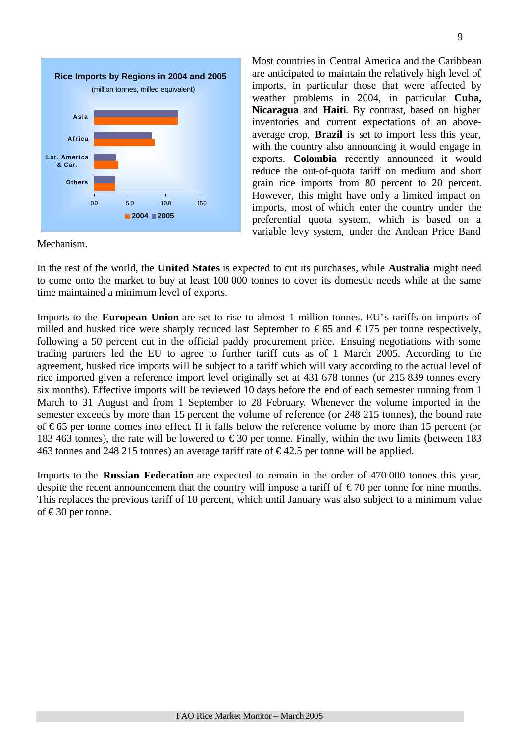

Most countries in Central America and the Caribbean are anticipated to maintain the relatively high level of imports, in particular those that were affected by weather problems in 2004, in particular **Cuba, Nicaragua** and **Haiti**. By contrast, based on higher inventories and current expectations of an aboveaverage crop, **Brazil** is set to import less this year, with the country also announcing it would engage in exports. **Colombia** recently announced it would reduce the out-of-quota tariff on medium and short grain rice imports from 80 percent to 20 percent. However, this might have only a limited impact on imports, most of which enter the country under the preferential quota system, which is based on a variable levy system, under the Andean Price Band

Mechanism.

In the rest of the world, the **United States** is expected to cut its purchases, while **Australia** might need to come onto the market to buy at least 100 000 tonnes to cover its domestic needs while at the same time maintained a minimum level of exports.

Imports to the **European Union** are set to rise to almost 1 million tonnes. EU's tariffs on imports of milled and husked rice were sharply reduced last September to  $\epsilon$ 65 and  $\epsilon$ 175 per tonne respectively, following a 50 percent cut in the official paddy procurement price. Ensuing negotiations with some trading partners led the EU to agree to further tariff cuts as of 1 March 2005. According to the agreement, husked rice imports will be subject to a tariff which will vary according to the actual level of rice imported given a reference import level originally set at 431 678 tonnes (or 215 839 tonnes every six months). Effective imports will be reviewed 10 days before the end of each semester running from 1 March to 31 August and from 1 September to 28 February. Whenever the volume imported in the semester exceeds by more than 15 percent the volume of reference (or 248 215 tonnes), the bound rate of € 65 per tonne comes into effect. If it falls below the reference volume by more than 15 percent (or 183 463 tonnes), the rate will be lowered to  $\epsilon$ 30 per tonne. Finally, within the two limits (between 183 463 tonnes and 248 215 tonnes) an average tariff rate of  $\epsilon$ 42.5 per tonne will be applied.

Imports to the **Russian Federation** are expected to remain in the order of 470 000 tonnes this year, despite the recent announcement that the country will impose a tariff of  $\epsilon$ 70 per tonne for nine months. This replaces the previous tariff of 10 percent, which until January was also subject to a minimum value of €30 per tonne.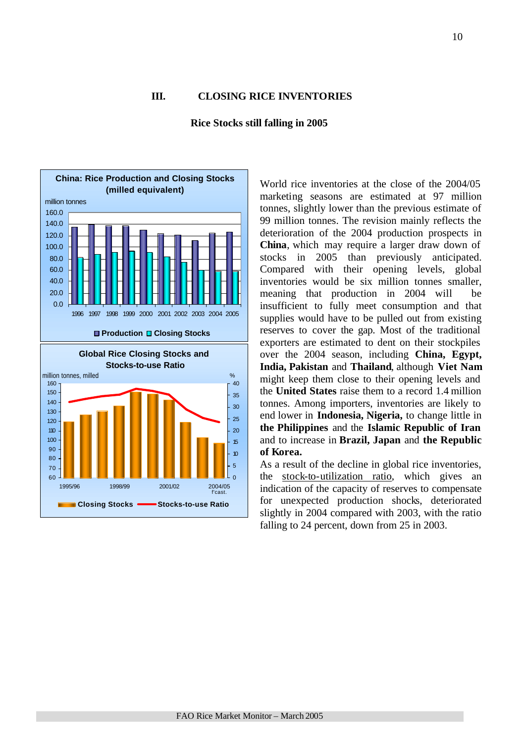#### **III. CLOSING RICE INVENTORIES**



**Rice Stocks still falling in 2005** 

World rice inventories at the close of the 2004/05 marketing seasons are estimated at 97 million tonnes, slightly lower than the previous estimate of 99 million tonnes. The revision mainly reflects the deterioration of the 2004 production prospects in **China**, which may require a larger draw down of stocks in 2005 than previously anticipated. Compared with their opening levels, global inventories would be six million tonnes smaller, meaning that production in 2004 will be insufficient to fully meet consumption and that supplies would have to be pulled out from existing reserves to cover the gap. Most of the traditional exporters are estimated to dent on their stockpiles over the 2004 season, including **China, Egypt, India, Pakistan** and **Thailand**, although **Viet Nam** might keep them close to their opening levels and the **United States** raise them to a record 1.4 million tonnes. Among importers, inventories are likely to end lower in **Indonesia, Nigeria,** to change little in **the Philippines** and the **Islamic Republic of Iran**  and to increase in **Brazil, Japan** and **the Republic of Korea.**

As a result of the decline in global rice inventories, the stock-to-utilization ratio, which gives an indication of the capacity of reserves to compensate for unexpected production shocks, deteriorated slightly in 2004 compared with 2003, with the ratio falling to 24 percent, down from 25 in 2003.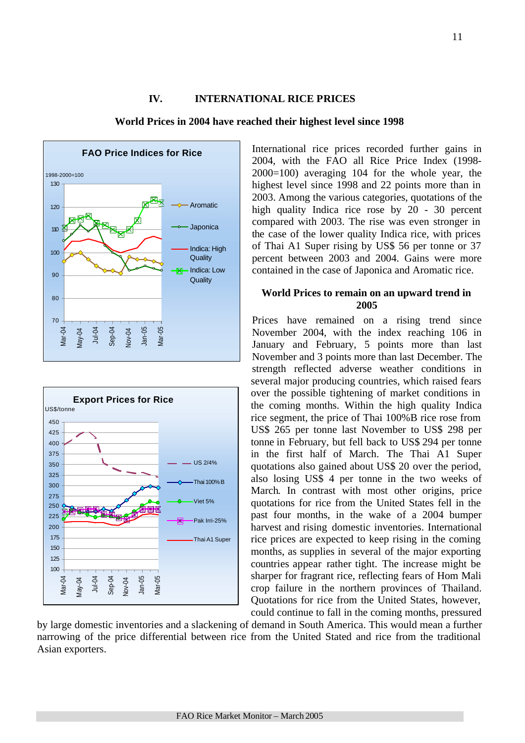# **IV. INTERNATIONAL RICE PRICES**







International rice prices recorded further gains in 2004, with the FAO all Rice Price Index (1998- 2000=100) averaging 104 for the whole year, the highest level since 1998 and 22 points more than in 2003. Among the various categories, quotations of the high quality Indica rice rose by 20 - 30 percent compared with 2003. The rise was even stronger in the case of the lower quality Indica rice, with prices of Thai A1 Super rising by US\$ 56 per tonne or 37 percent between 2003 and 2004. Gains were more contained in the case of Japonica and Aromatic rice.

#### **World Prices to remain on an upward trend in 2005**

Prices have remained on a rising trend since November 2004, with the index reaching 106 in January and February, 5 points more than last November and 3 points more than last December. The strength reflected adverse weather conditions in several major producing countries, which raised fears over the possible tightening of market conditions in the coming months. Within the high quality Indica rice segment, the price of Thai 100%B rice rose from US\$ 265 per tonne last November to US\$ 298 per tonne in February, but fell back to US\$ 294 per tonne in the first half of March. The Thai A1 Super quotations also gained about US\$ 20 over the period, also losing US\$ 4 per tonne in the two weeks of March. In contrast with most other origins, price quotations for rice from the United States fell in the past four months, in the wake of a 2004 bumper harvest and rising domestic inventories. International rice prices are expected to keep rising in the coming months, as supplies in several of the major exporting countries appear rather tight. The increase might be sharper for fragrant rice, reflecting fears of Hom Mali crop failure in the northern provinces of Thailand. Quotations for rice from the United States, however, could continue to fall in the coming months, pressured

by large domestic inventories and a slackening of demand in South America. This would mean a further narrowing of the price differential between rice from the United Stated and rice from the traditional Asian exporters.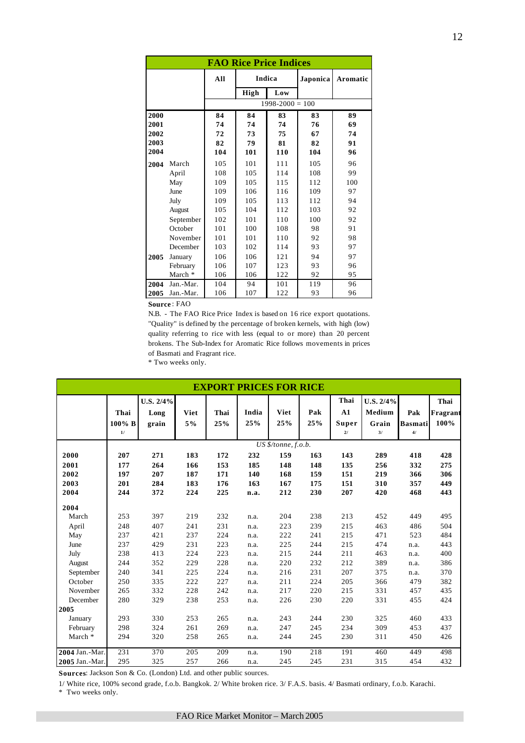| <b>FAO Rice Price Indices</b> |           |                     |        |     |          |          |  |  |  |
|-------------------------------|-----------|---------------------|--------|-----|----------|----------|--|--|--|
|                               |           | All                 | Indica |     | Japonica | Aromatic |  |  |  |
|                               |           |                     | High   | Low |          |          |  |  |  |
|                               |           | $1998 - 2000 = 100$ |        |     |          |          |  |  |  |
| 2000                          |           | 84                  | 84     | 83  | 83       | 89       |  |  |  |
| 2001                          |           | 74                  | 74     | 74  | 76       | 69       |  |  |  |
| 2002                          |           | 72                  | 73     | 75  | 67       | 74       |  |  |  |
| 2003                          |           | 82                  | 79     | 81  | 82       | 91       |  |  |  |
| 2004                          |           | 104                 | 101    | 110 | 104      | 96       |  |  |  |
| 2004                          | March     | 105                 | 101    | 111 | 105      | 96       |  |  |  |
|                               | April     | 108                 | 105    | 114 | 108      | 99       |  |  |  |
|                               | May       | 109                 | 105    | 115 | 112      | 100      |  |  |  |
|                               | June      | 109                 | 106    | 116 | 109      | 97       |  |  |  |
|                               | July      | 109                 | 105    | 113 | 112      | 94       |  |  |  |
|                               | August    | 105                 | 104    | 112 | 103      | 92       |  |  |  |
|                               | September | 102                 | 101    | 110 | 100      | 92       |  |  |  |
|                               | October   | 101                 | 100    | 108 | 98       | 91       |  |  |  |
|                               | November  | 101                 | 101    | 110 | 92       | 98       |  |  |  |
|                               | December  | 103                 | 102    | 114 | 93       | 97       |  |  |  |
| 2005                          | January   | 106                 | 106    | 121 | 94       | 97       |  |  |  |
|                               | February  | 106                 | 107    | 123 | 93       | 96       |  |  |  |
|                               | March *   | 106                 | 106    | 122 | 92       | 95       |  |  |  |
| 2004                          | Jan.-Mar. | 104                 | 94     | 101 | 119      | 96       |  |  |  |
| 2005                          | Jan.-Mar. | 106                 | 107    | 122 | 93       | 96       |  |  |  |

**Source** : FAO

N.B. - The FAO Rice Price Index is based on 16 rice export quotations. "Quality" is defined by the percentage of broken kernels, with high (low) quality referring to rice with less (equal to or more) than 20 percent brokens. The Sub-Index for Aromatic Rice follows movements in prices of Basmati and Fragrant rice.

\* Two weeks only.

| <b>EXPORT PRICES FOR RICE</b> |        |           |      |      |       |                     |     |       |           |                |          |
|-------------------------------|--------|-----------|------|------|-------|---------------------|-----|-------|-----------|----------------|----------|
|                               |        | U.S. 2/4% |      |      |       |                     |     | Thai  | U.S. 2/4% |                | Thai     |
|                               | Thai   | Long      | Viet | Thai | India | Viet                | Pak | A1    | Medium    | Pak            | Fragrant |
|                               | 100% B | grain     | 5%   | 25%  | 25%   | 25%                 | 25% | Super | Grain     | <b>Basmati</b> | 100%     |
|                               | 1/     |           |      |      |       |                     |     | 21    | 3/        | 4/             |          |
|                               |        |           |      |      |       | US \$/tonne, f.o.b. |     |       |           |                |          |
| 2000                          | 207    | 271       | 183  | 172  | 232   | 159                 | 163 | 143   | 289       | 418            | 428      |
| 2001                          | 177    | 264       | 166  | 153  | 185   | 148                 | 148 | 135   | 256       | 332            | 275      |
| 2002                          | 197    | 207       | 187  | 171  | 140   | 168                 | 159 | 151   | 219       | 366            | 306      |
| 2003                          | 201    | 284       | 183  | 176  | 163   | 167                 | 175 | 151   | 310       | 357            | 449      |
| 2004                          | 244    | 372       | 224  | 225  | n.a.  | 212                 | 230 | 207   | 420       | 468            | 443      |
| 2004                          |        |           |      |      |       |                     |     |       |           |                |          |
| March                         | 253    | 397       | 219  | 232  | n.a.  | 204                 | 238 | 213   | 452       | 449            | 495      |
| April                         | 248    | 407       | 241  | 231  | n.a.  | 223                 | 239 | 215   | 463       | 486            | 504      |
| May                           | 237    | 421       | 237  | 224  | n.a.  | 222                 | 241 | 215   | 471       | 523            | 484      |
| June                          | 237    | 429       | 231  | 223  | n.a.  | 225                 | 244 | 215   | 474       | n.a.           | 443      |
| July                          | 238    | 413       | 224  | 223  | n.a.  | 215                 | 244 | 211   | 463       | n.a.           | 400      |
| August                        | 244    | 352       | 229  | 228  | n.a.  | 220                 | 232 | 212   | 389       | n.a.           | 386      |
| September                     | 240    | 341       | 225  | 224  | n.a.  | 216                 | 231 | 207   | 375       | n.a.           | 370      |
| October                       | 250    | 335       | 222  | 227  | n.a.  | 211                 | 224 | 205   | 366       | 479            | 382      |
| November                      | 265    | 332       | 228  | 242  | n.a.  | 217                 | 220 | 215   | 331       | 457            | 435      |
| December                      | 280    | 329       | 238  | 253  | n.a.  | 226                 | 230 | 220   | 331       | 455            | 424      |
| 2005                          |        |           |      |      |       |                     |     |       |           |                |          |
| January                       | 293    | 330       | 253  | 265  | n.a.  | 243                 | 244 | 230   | 325       | 460            | 433      |
| February                      | 298    | 324       | 261  | 269  | n.a.  | 247                 | 245 | 234   | 309       | 453            | 437      |
| March *                       | 294    | 320       | 258  | 265  | n.a.  | 244                 | 245 | 230   | 311       | 450            | 426      |
| 2004 Jan.-Mar.                | 231    | 370       | 205  | 209  | n.a.  | 190                 | 218 | 191   | 460       | 449            | 498      |
| 2005 Jan.-Mar.                | 295    | 325       | 257  | 266  | n.a.  | 245                 | 245 | 231   | 315       | 454            | 432      |

**Sources**: Jackson Son & Co. (London) Ltd. and other public sources.

1/ White rice, 100% second grade, f.o.b. Bangkok. 2/ White broken rice. 3/ F.A.S. basis. 4/ Basmati ordinary, f.o.b. Karachi. \* Two weeks only.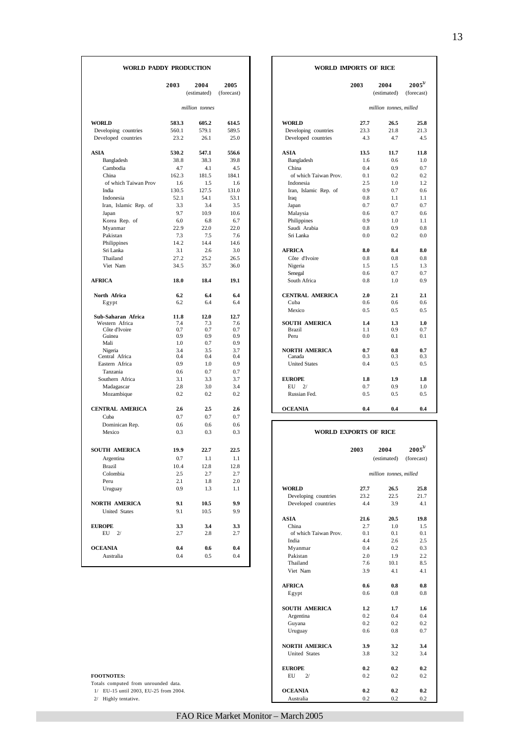| WORLD PADDY PRODUCTION         |            |                     |                    |                              | WORLD IMPORTS OF RICE |                        |                        |  |
|--------------------------------|------------|---------------------|--------------------|------------------------------|-----------------------|------------------------|------------------------|--|
|                                | 2003       | 2004<br>(estimated) | 2005<br>(forecast) |                              | 2003                  | 2004<br>(estimated)    | $2005^3$<br>(forecast) |  |
|                                |            | million tonnes      |                    |                              |                       | million tonnes, milled |                        |  |
| <b>WORLD</b>                   | 583.3      | 605.2               | 614.5              | <b>WORLD</b>                 | 27.7                  | 26.5                   | 25.8                   |  |
| Developing countries           | 560.1      | 579.1               | 589.5              | Developing countries         | 23.3                  | 21.8                   | 21.3                   |  |
| Developed countries            | 23.2       | 26.1                | 25.0               | Developed countries          | 4.3                   | 4.7                    | 4.5                    |  |
| <b>ASIA</b>                    | 530.2      | 547.1               | 556.6              | <b>ASIA</b>                  | 13.5                  | 11.7                   | 11.8                   |  |
| Bangladesh                     | 38.8       | 38.3                | 39.8               | Bangladesh                   | 1.6                   | 0.6                    | 1.0                    |  |
| Cambodia                       | 4.7        | 4.1                 | 4.5                | China                        | 0.4                   | 0.9                    | 0.7                    |  |
| China                          | 162.3      | 181.5               | 184.1              | of which Taiwan Prov.        | 0.1                   | 0.2                    | 0.2                    |  |
| of which Taiwan Prov           | 1.6        | 1.5                 | 1.6                | Indonesia                    | 2.5                   | 1.0                    | 1.2                    |  |
| India                          | 130.5      | 127.5               | 131.0              | Iran, Islamic Rep. of        | 0.9                   | 0.7                    | 0.6                    |  |
| Indonesia                      | 52.1       | 54.1                | 53.1               | Iraq                         | 0.8                   | 1.1                    | 1.1                    |  |
| Iran, Islamic Rep. of          | 3.3        | 3.4                 | 3.5                | Japan                        | 0.7                   | 0.7                    | 0.7                    |  |
| Japan                          | 9.7        | 10.9                | 10.6               | Malaysia                     | 0.6                   | 0.7                    | 0.6                    |  |
| Korea Rep. of                  | 6.0        | 6.8                 | 6.7                | Philippines                  | 0.9                   | 1.0                    | 1.1                    |  |
| Myanmar                        | 22.9       | 22.0                | 22.0               | Saudi Arabia                 | 0.8                   | 0.9                    | 0.8                    |  |
| Pakistan                       | 7.3        | 7.5                 | 7.6                | Sri Lanka                    | 0.0                   | 0.2                    | 0.0                    |  |
| Philippines                    | 14.2       | 14.4                | 14.6               |                              |                       |                        |                        |  |
| Sri Lanka                      | 3.1        | 2.6                 | 3.0                | <b>AFRICA</b>                | 8.0                   | 8.4                    | 8.0                    |  |
| Thailand                       | 27.2       | 25.2                | 26.5               | Côte d'Ivoire                | 0.8                   | 0.8                    | 0.8                    |  |
| Viet Nam                       | 34.5       | 35.7                | 36.0               | Nigeria                      | 1.5                   | 1.5                    | 1.3                    |  |
|                                |            |                     |                    | Senegal                      | 0.6                   | 0.7                    | 0.7                    |  |
| <b>AFRICA</b>                  | 18.0       | 18.4                | 19.1               | South Africa                 | 0.8                   | 1.0                    | 0.9                    |  |
| North Africa                   | 6.2        | 6.4                 | 6.4                | <b>CENTRAL AMERICA</b>       | 2.0                   | 2.1                    | 2.1                    |  |
| Egypt                          | 6.2        | 6.4                 | 6.4                | Cuba                         | 0.6                   | 0.6                    | 0.6                    |  |
|                                |            |                     |                    | Mexico                       | 0.5                   | 0.5                    | 0.5                    |  |
| Sub-Saharan Africa             | 11.8       | 12.0                | 12.7               |                              |                       |                        |                        |  |
| Western Africa                 | 7.4        | 7.3                 | 7.6                | <b>SOUTH AMERICA</b>         | 1.4                   | 1.3                    | 1.0                    |  |
| Côte d'Ivoire<br>Guinea        | 0.7<br>0.9 | 0.7<br>0.9          | 0.7<br>0.9         | <b>Brazil</b><br>Peru        | 1.1<br>0.0            | 0.9<br>0.1             | 0.7<br>0.1             |  |
| Mali                           | 1.0        | 0.7                 | 0.9                |                              |                       |                        |                        |  |
| Nigeria                        | 3.4        | 3.5                 | 3.7                | <b>NORTH AMERICA</b>         | 0.7                   | 0.8                    | 0.7                    |  |
| Central Africa                 | 0.4        | 0.4                 | 0.4                | Canada                       | 0.3                   | 0.3                    | 0.3                    |  |
| Eastern Africa                 | 0.9        | 1.0                 | 0.9                | <b>United States</b>         | 0.4                   | 0.5                    | 0.5                    |  |
| Tanzania                       | 0.6        | 0.7                 | 0.7                |                              |                       |                        |                        |  |
| Southern Africa                | 3.1        | 3.3                 | 3.7                | <b>EUROPE</b>                | 1.8                   | 1.9                    | 1.8                    |  |
| Madagascar                     | 2.8        | 3.0                 | 3.4                | EU<br>2/                     | 0.7                   | 0.9                    | 1.0                    |  |
| Mozambique                     | 0.2        | 0.2                 | 0.2                | Russian Fed.                 | 0.5                   | 0.5                    | 0.5                    |  |
|                                |            |                     |                    |                              |                       |                        |                        |  |
| <b>CENTRAL AMERICA</b><br>Cuba | 2.6<br>0.7 | 2.5<br>0.7          | 2.6<br>0.7         | <b>OCEANIA</b>               | 0.4                   | 0.4                    | 0.4                    |  |
|                                | 0.6        | 0.6                 | 0.6                |                              |                       |                        |                        |  |
| Dominican Rep.<br>Mexico       | 0.3        | 0.3                 | 0.3                | <b>WORLD EXPORTS OF RICE</b> |                       |                        |                        |  |
| <b>SOUTH AMERICA</b>           | 19.9       | 22.7                | 22.5               |                              | 2003                  | 2004                   | $2005^3$               |  |
| Argentina                      | 0.7        | 1.1                 | $1.1\,$            |                              |                       | (estimated)            | (forecast)             |  |
| Brazil                         | 10.4       |                     | 12.8               |                              |                       |                        |                        |  |
| Colombia                       | 2.5        | 12.8<br>2.7         | 2.7                |                              |                       | million tonnes, milled |                        |  |
| Peru                           | 2.1        | 1.8                 | 2.0                |                              |                       |                        |                        |  |
|                                | 0.9        |                     |                    | <b>WORLD</b>                 | 27.7                  | 26.5                   | 25.8                   |  |
| Uruguay                        |            | 1.3                 | 1.1                | Developing countries         | 23.2                  | 22.5                   | 21.7                   |  |
| NORTH AMERICA                  | 9.1        | 10.5                | 9.9                | Developed countries          | 4.4                   | 3.9                    | 4.1                    |  |
| <b>United States</b>           | 9.1        | 10.5                | 9.9                |                              |                       |                        |                        |  |
|                                |            |                     |                    | <b>ASIA</b>                  | 21.6                  | 20.5                   | 19.8                   |  |
| <b>EUROPE</b>                  | 3.3        | 3.4                 | 3.3                | China                        | 2.7                   | 1.0                    | 1.5                    |  |
| EU<br>2/                       | 2.7        | 2.8                 | 2.7                | of which Taiwan Prov.        | 0.1                   | 0.1                    | 0.1                    |  |
|                                |            |                     |                    | India                        | 4.4                   | 2.6                    | 2.5                    |  |
| <b>OCEANIA</b>                 | 0.4        | 0.6                 | 0.4                | Myanmar                      | 0.4                   | 0.2                    | 0.3                    |  |
| Australia                      | 0.4        | 0.5                 | 0.4                | Pakistan                     | 2.0                   | 1.9                    | 2.2                    |  |
|                                |            |                     |                    | Thailand                     | 7.6                   | 10.1                   | 8.5                    |  |

| illion tonnes<br>million tonnes, milled<br><b>WORLD</b><br>27.7<br>26.5<br>25.8<br>605.2<br>614.5<br>579.1<br>589.5<br>Developing countries<br>23.3<br>21.8<br>21.3<br>25.0<br>4.3<br>4.7<br>26.1<br>Developed countries<br>4.5<br>547.1<br>556.6<br><b>ASIA</b><br>13.5<br>11.7<br>11.8<br>38.3<br>39.8<br>Bangladesh<br>1.6<br>$0.6^{\circ}$<br>1.0<br>4.1<br>China<br>0.4<br>0.9<br>4.5<br>0.7<br>184.1<br>of which Taiwan Prov.<br>181.5<br>0.1<br>0.2<br>0.2<br>1.2<br>1.5<br>1.6<br>Indonesia<br>2.5<br>1.0<br>131.0<br>127.5<br>0.9<br>0.7<br>0.6<br>Iran, Islamic Rep. of<br>54.1<br>53.1<br>0.8<br>1.1<br>Iraq<br>1.1<br>3.4<br>3.5<br>0.7<br>0.7<br>0.7<br>Japan<br>10.9<br>10.6<br>0.6<br>Malaysia<br>0.6<br>0.7<br>6.7<br>Philippines<br>0.9<br>6.8<br>1.0<br>1.1<br>22.0<br>22.0<br>Saudi Arabia<br>0.8<br>0.9<br>0.8<br>7.5<br>7.6<br>Sri Lanka<br>0.0<br>0.2<br>0.0<br>14.4<br>14.6<br>2.6<br>3.0<br><b>AFRICA</b><br>8.0<br>8.4<br>8.0<br>25.2<br>26.5<br>Côte d'Ivoire<br>0.8<br>0.8<br>0.8<br>35.7<br>36.0<br>Nigeria<br>1.5<br>1.5<br>1.3<br>0.6<br>0.7<br>0.7<br>Senegal<br>South Africa<br>18.4<br>19.1<br>0.8<br>1.0<br>0.9<br>6.4<br>6.4<br><b>CENTRAL AMERICA</b><br>2.0<br>2.1<br>2.1<br>6.4<br>6.4<br>Cuba<br>0.6<br>0.6<br>0.6<br>Mexico<br>0.5<br>0.5<br>0.5<br>12.0<br>12.7<br><b>SOUTH AMERICA</b><br>1.0<br>7.6<br>1.4<br>1.3<br>7.3<br>0.7<br>0.9<br>0.7<br>Brazil<br>1.1<br>0.7<br>0.9<br>0.9<br>Peru<br>0.0<br>0.1<br>0.1<br>0.7<br>0.9<br>3.7<br><b>NORTH AMERICA</b><br>0.7<br>3.5<br>0.7<br>0.8<br>0.3<br>0.3<br>0.4<br>0.4<br>Canada<br>0.3<br><b>United States</b><br>0.5<br>1.0<br>0.9<br>0.4<br>0.5<br>0.7<br>0.7<br>3.7<br>3.3<br><b>EUROPE</b><br>1.8<br>1.9<br>1.8<br>3.0<br>3.4<br>EU.<br>0.7<br>0.9<br>1.0<br>2/<br>0.2<br>0.2<br>Russian Fed.<br>0.5<br>0.5<br>0.5<br>2.5<br>2.6<br><b>OCEANIA</b><br>0.4<br>0.4<br>0.4<br>0.7<br>0.7 | (estimated) | (forecast) |  | (estimated) | (forecast) |
|--------------------------------------------------------------------------------------------------------------------------------------------------------------------------------------------------------------------------------------------------------------------------------------------------------------------------------------------------------------------------------------------------------------------------------------------------------------------------------------------------------------------------------------------------------------------------------------------------------------------------------------------------------------------------------------------------------------------------------------------------------------------------------------------------------------------------------------------------------------------------------------------------------------------------------------------------------------------------------------------------------------------------------------------------------------------------------------------------------------------------------------------------------------------------------------------------------------------------------------------------------------------------------------------------------------------------------------------------------------------------------------------------------------------------------------------------------------------------------------------------------------------------------------------------------------------------------------------------------------------------------------------------------------------------------------------------------------------------------------------------------------------------------------------------------------------------------------------------------------------------------------|-------------|------------|--|-------------|------------|
|                                                                                                                                                                                                                                                                                                                                                                                                                                                                                                                                                                                                                                                                                                                                                                                                                                                                                                                                                                                                                                                                                                                                                                                                                                                                                                                                                                                                                                                                                                                                                                                                                                                                                                                                                                                                                                                                                      |             |            |  |             |            |
|                                                                                                                                                                                                                                                                                                                                                                                                                                                                                                                                                                                                                                                                                                                                                                                                                                                                                                                                                                                                                                                                                                                                                                                                                                                                                                                                                                                                                                                                                                                                                                                                                                                                                                                                                                                                                                                                                      |             |            |  |             |            |
|                                                                                                                                                                                                                                                                                                                                                                                                                                                                                                                                                                                                                                                                                                                                                                                                                                                                                                                                                                                                                                                                                                                                                                                                                                                                                                                                                                                                                                                                                                                                                                                                                                                                                                                                                                                                                                                                                      |             |            |  |             |            |
|                                                                                                                                                                                                                                                                                                                                                                                                                                                                                                                                                                                                                                                                                                                                                                                                                                                                                                                                                                                                                                                                                                                                                                                                                                                                                                                                                                                                                                                                                                                                                                                                                                                                                                                                                                                                                                                                                      |             |            |  |             |            |
|                                                                                                                                                                                                                                                                                                                                                                                                                                                                                                                                                                                                                                                                                                                                                                                                                                                                                                                                                                                                                                                                                                                                                                                                                                                                                                                                                                                                                                                                                                                                                                                                                                                                                                                                                                                                                                                                                      |             |            |  |             |            |
|                                                                                                                                                                                                                                                                                                                                                                                                                                                                                                                                                                                                                                                                                                                                                                                                                                                                                                                                                                                                                                                                                                                                                                                                                                                                                                                                                                                                                                                                                                                                                                                                                                                                                                                                                                                                                                                                                      |             |            |  |             |            |
|                                                                                                                                                                                                                                                                                                                                                                                                                                                                                                                                                                                                                                                                                                                                                                                                                                                                                                                                                                                                                                                                                                                                                                                                                                                                                                                                                                                                                                                                                                                                                                                                                                                                                                                                                                                                                                                                                      |             |            |  |             |            |
|                                                                                                                                                                                                                                                                                                                                                                                                                                                                                                                                                                                                                                                                                                                                                                                                                                                                                                                                                                                                                                                                                                                                                                                                                                                                                                                                                                                                                                                                                                                                                                                                                                                                                                                                                                                                                                                                                      |             |            |  |             |            |
|                                                                                                                                                                                                                                                                                                                                                                                                                                                                                                                                                                                                                                                                                                                                                                                                                                                                                                                                                                                                                                                                                                                                                                                                                                                                                                                                                                                                                                                                                                                                                                                                                                                                                                                                                                                                                                                                                      |             |            |  |             |            |
|                                                                                                                                                                                                                                                                                                                                                                                                                                                                                                                                                                                                                                                                                                                                                                                                                                                                                                                                                                                                                                                                                                                                                                                                                                                                                                                                                                                                                                                                                                                                                                                                                                                                                                                                                                                                                                                                                      |             |            |  |             |            |
|                                                                                                                                                                                                                                                                                                                                                                                                                                                                                                                                                                                                                                                                                                                                                                                                                                                                                                                                                                                                                                                                                                                                                                                                                                                                                                                                                                                                                                                                                                                                                                                                                                                                                                                                                                                                                                                                                      |             |            |  |             |            |
|                                                                                                                                                                                                                                                                                                                                                                                                                                                                                                                                                                                                                                                                                                                                                                                                                                                                                                                                                                                                                                                                                                                                                                                                                                                                                                                                                                                                                                                                                                                                                                                                                                                                                                                                                                                                                                                                                      |             |            |  |             |            |
|                                                                                                                                                                                                                                                                                                                                                                                                                                                                                                                                                                                                                                                                                                                                                                                                                                                                                                                                                                                                                                                                                                                                                                                                                                                                                                                                                                                                                                                                                                                                                                                                                                                                                                                                                                                                                                                                                      |             |            |  |             |            |
|                                                                                                                                                                                                                                                                                                                                                                                                                                                                                                                                                                                                                                                                                                                                                                                                                                                                                                                                                                                                                                                                                                                                                                                                                                                                                                                                                                                                                                                                                                                                                                                                                                                                                                                                                                                                                                                                                      |             |            |  |             |            |
|                                                                                                                                                                                                                                                                                                                                                                                                                                                                                                                                                                                                                                                                                                                                                                                                                                                                                                                                                                                                                                                                                                                                                                                                                                                                                                                                                                                                                                                                                                                                                                                                                                                                                                                                                                                                                                                                                      |             |            |  |             |            |
|                                                                                                                                                                                                                                                                                                                                                                                                                                                                                                                                                                                                                                                                                                                                                                                                                                                                                                                                                                                                                                                                                                                                                                                                                                                                                                                                                                                                                                                                                                                                                                                                                                                                                                                                                                                                                                                                                      |             |            |  |             |            |
|                                                                                                                                                                                                                                                                                                                                                                                                                                                                                                                                                                                                                                                                                                                                                                                                                                                                                                                                                                                                                                                                                                                                                                                                                                                                                                                                                                                                                                                                                                                                                                                                                                                                                                                                                                                                                                                                                      |             |            |  |             |            |
|                                                                                                                                                                                                                                                                                                                                                                                                                                                                                                                                                                                                                                                                                                                                                                                                                                                                                                                                                                                                                                                                                                                                                                                                                                                                                                                                                                                                                                                                                                                                                                                                                                                                                                                                                                                                                                                                                      |             |            |  |             |            |
|                                                                                                                                                                                                                                                                                                                                                                                                                                                                                                                                                                                                                                                                                                                                                                                                                                                                                                                                                                                                                                                                                                                                                                                                                                                                                                                                                                                                                                                                                                                                                                                                                                                                                                                                                                                                                                                                                      |             |            |  |             |            |
|                                                                                                                                                                                                                                                                                                                                                                                                                                                                                                                                                                                                                                                                                                                                                                                                                                                                                                                                                                                                                                                                                                                                                                                                                                                                                                                                                                                                                                                                                                                                                                                                                                                                                                                                                                                                                                                                                      |             |            |  |             |            |
|                                                                                                                                                                                                                                                                                                                                                                                                                                                                                                                                                                                                                                                                                                                                                                                                                                                                                                                                                                                                                                                                                                                                                                                                                                                                                                                                                                                                                                                                                                                                                                                                                                                                                                                                                                                                                                                                                      |             |            |  |             |            |
|                                                                                                                                                                                                                                                                                                                                                                                                                                                                                                                                                                                                                                                                                                                                                                                                                                                                                                                                                                                                                                                                                                                                                                                                                                                                                                                                                                                                                                                                                                                                                                                                                                                                                                                                                                                                                                                                                      |             |            |  |             |            |
|                                                                                                                                                                                                                                                                                                                                                                                                                                                                                                                                                                                                                                                                                                                                                                                                                                                                                                                                                                                                                                                                                                                                                                                                                                                                                                                                                                                                                                                                                                                                                                                                                                                                                                                                                                                                                                                                                      |             |            |  |             |            |
|                                                                                                                                                                                                                                                                                                                                                                                                                                                                                                                                                                                                                                                                                                                                                                                                                                                                                                                                                                                                                                                                                                                                                                                                                                                                                                                                                                                                                                                                                                                                                                                                                                                                                                                                                                                                                                                                                      |             |            |  |             |            |
|                                                                                                                                                                                                                                                                                                                                                                                                                                                                                                                                                                                                                                                                                                                                                                                                                                                                                                                                                                                                                                                                                                                                                                                                                                                                                                                                                                                                                                                                                                                                                                                                                                                                                                                                                                                                                                                                                      |             |            |  |             |            |
|                                                                                                                                                                                                                                                                                                                                                                                                                                                                                                                                                                                                                                                                                                                                                                                                                                                                                                                                                                                                                                                                                                                                                                                                                                                                                                                                                                                                                                                                                                                                                                                                                                                                                                                                                                                                                                                                                      |             |            |  |             |            |
|                                                                                                                                                                                                                                                                                                                                                                                                                                                                                                                                                                                                                                                                                                                                                                                                                                                                                                                                                                                                                                                                                                                                                                                                                                                                                                                                                                                                                                                                                                                                                                                                                                                                                                                                                                                                                                                                                      |             |            |  |             |            |
|                                                                                                                                                                                                                                                                                                                                                                                                                                                                                                                                                                                                                                                                                                                                                                                                                                                                                                                                                                                                                                                                                                                                                                                                                                                                                                                                                                                                                                                                                                                                                                                                                                                                                                                                                                                                                                                                                      |             |            |  |             |            |
|                                                                                                                                                                                                                                                                                                                                                                                                                                                                                                                                                                                                                                                                                                                                                                                                                                                                                                                                                                                                                                                                                                                                                                                                                                                                                                                                                                                                                                                                                                                                                                                                                                                                                                                                                                                                                                                                                      |             |            |  |             |            |
|                                                                                                                                                                                                                                                                                                                                                                                                                                                                                                                                                                                                                                                                                                                                                                                                                                                                                                                                                                                                                                                                                                                                                                                                                                                                                                                                                                                                                                                                                                                                                                                                                                                                                                                                                                                                                                                                                      |             |            |  |             |            |
|                                                                                                                                                                                                                                                                                                                                                                                                                                                                                                                                                                                                                                                                                                                                                                                                                                                                                                                                                                                                                                                                                                                                                                                                                                                                                                                                                                                                                                                                                                                                                                                                                                                                                                                                                                                                                                                                                      |             |            |  |             |            |
|                                                                                                                                                                                                                                                                                                                                                                                                                                                                                                                                                                                                                                                                                                                                                                                                                                                                                                                                                                                                                                                                                                                                                                                                                                                                                                                                                                                                                                                                                                                                                                                                                                                                                                                                                                                                                                                                                      |             |            |  |             |            |
|                                                                                                                                                                                                                                                                                                                                                                                                                                                                                                                                                                                                                                                                                                                                                                                                                                                                                                                                                                                                                                                                                                                                                                                                                                                                                                                                                                                                                                                                                                                                                                                                                                                                                                                                                                                                                                                                                      |             |            |  |             |            |
|                                                                                                                                                                                                                                                                                                                                                                                                                                                                                                                                                                                                                                                                                                                                                                                                                                                                                                                                                                                                                                                                                                                                                                                                                                                                                                                                                                                                                                                                                                                                                                                                                                                                                                                                                                                                                                                                                      |             |            |  |             |            |
|                                                                                                                                                                                                                                                                                                                                                                                                                                                                                                                                                                                                                                                                                                                                                                                                                                                                                                                                                                                                                                                                                                                                                                                                                                                                                                                                                                                                                                                                                                                                                                                                                                                                                                                                                                                                                                                                                      |             |            |  |             |            |
|                                                                                                                                                                                                                                                                                                                                                                                                                                                                                                                                                                                                                                                                                                                                                                                                                                                                                                                                                                                                                                                                                                                                                                                                                                                                                                                                                                                                                                                                                                                                                                                                                                                                                                                                                                                                                                                                                      |             |            |  |             |            |
|                                                                                                                                                                                                                                                                                                                                                                                                                                                                                                                                                                                                                                                                                                                                                                                                                                                                                                                                                                                                                                                                                                                                                                                                                                                                                                                                                                                                                                                                                                                                                                                                                                                                                                                                                                                                                                                                                      |             |            |  |             |            |
|                                                                                                                                                                                                                                                                                                                                                                                                                                                                                                                                                                                                                                                                                                                                                                                                                                                                                                                                                                                                                                                                                                                                                                                                                                                                                                                                                                                                                                                                                                                                                                                                                                                                                                                                                                                                                                                                                      |             |            |  |             |            |

| ронникан кер.                         | $\mathbf{v} \cdot \mathbf{v}$ | v.v  | v.v  |
|---------------------------------------|-------------------------------|------|------|
| Mexico                                | 0.3                           | 0.3  | 0.3  |
| <b>SOUTH AMERICA</b>                  | 19.9                          | 22.7 | 22.5 |
| Argentina                             | 0.7                           | 1.1  | 1.1  |
| <b>Brazil</b>                         | 10.4                          | 12.8 | 12.8 |
| Colombia                              | 2.5                           | 2.7  | 2.7  |
| Peru                                  | 2.1                           | 1.8  | 2.0  |
| Uruguay                               | 0.9                           | 1.3  | 1.1  |
|                                       |                               |      |      |
| <b>NORTH AMERICA</b>                  | 9.1                           | 10.5 | 9.9  |
| <b>United States</b>                  | 9.1                           | 10.5 | 9.9  |
|                                       |                               |      |      |
| <b>EUROPE</b>                         | 3.3                           | 3.4  | 3.3  |
| $EU$ $2/$                             | 2.7                           | 2.8  | 2.7  |
|                                       |                               |      |      |
| <b>OCEANIA</b>                        | 0.4                           | 0.6  | 0.4  |
| Australia                             | 0.4                           | 0.5  | 0.4  |
|                                       |                               |      |      |
|                                       |                               |      |      |
|                                       |                               |      |      |
|                                       |                               |      |      |
|                                       |                               |      |      |
|                                       |                               |      |      |
|                                       |                               |      |      |
|                                       |                               |      |      |
|                                       |                               |      |      |
|                                       |                               |      |      |
|                                       |                               |      |      |
| <b>FOOTNOTES:</b>                     |                               |      |      |
| Totals computed from unrounded data.  |                               |      |      |
| 1/ EU-15 until 2003, EU-25 from 2004. |                               |      |      |
| $2$ $\ell$ III. also to a stationary  |                               |      |      |

 $2/$  Highly tentative.

## FAO Rice Market Monitor – March 2005